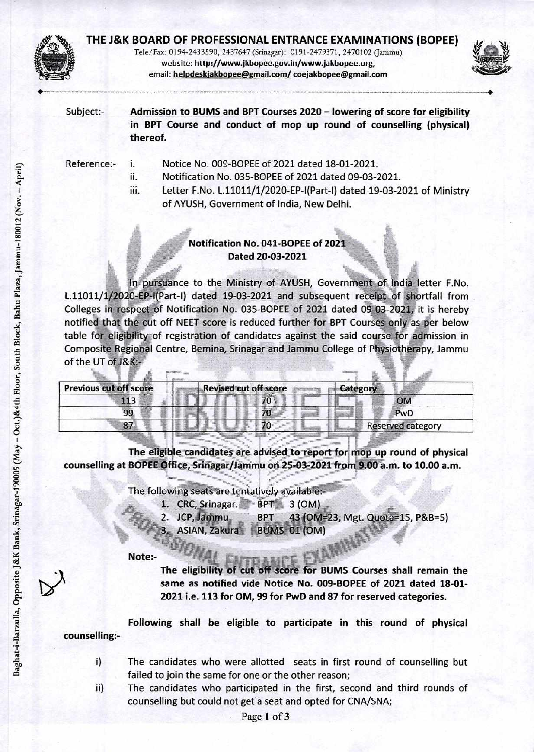

Tele/Fax: 0194-2433590, 2437647 (Srinagar): 0191-2479371, 2470102 (Jammu) website: http://www.jkbopee.gov.in/www.jakbopee.org, email: helpdeskjakbopee@gmail.com/coejakbopee@gmail.com



Subject:-Admission to BUMS and BPT Courses 2020 - lowering of score for eligibility in BPT Course and conduct of mop up round of counselling (physical) thereof.

| Reference:- | <b>TELECTION</b> | Notice No. 009-BOPEE of 2021 dated 18-01-2021.                        |  |  |
|-------------|------------------|-----------------------------------------------------------------------|--|--|
|             | ii.              | Notification No. 035-BOPEE of 2021 dated 09-03-2021.                  |  |  |
|             | III.             | Letter F.No. L.11011/1/2020-EP-I(Part-I) dated 19-03-2021 of Ministry |  |  |
|             |                  | of AYUSH, Government of India, New Delhi.                             |  |  |

## Notification No. 041-BOPEE of 2021 Dated 20-03-2021

In pursuance to the Ministry of AYUSH, Government of India letter F.No. L.11011/1/2020-EP-I(Part-I) dated 19-03-2021 and subsequent receipt of shortfall from Colleges in respect of Notification No. 035-BOPEE of 2021 dated 09-03-2021, it is hereby notified that the cut off NEET score is reduced further for BPT Courses only as per below table for eligibility of registration of candidates against the said course for admission in Composite Regional Centre, Bemina, Srinagar and Jammu College of Physiotherapy, Jammu of the UT of J&K:-

| <b>Previous cut off score</b> |  | <b>Revised cut off score</b> | Category                 |           |
|-------------------------------|--|------------------------------|--------------------------|-----------|
| 113                           |  | 70                           |                          | <b>OM</b> |
| 99                            |  |                              |                          | PwD       |
| 87                            |  |                              | <b>Reserved category</b> |           |

The eligible candidates are advised to report for mop up round of physical counselling at BOPEE Office, Srinagar/Jammu on 25-03-2021 from 9.00 a.m. to 10.00 a.m.

The following seats are tentatively available:-

- 1. CRC, Srinagar. BPT 3 (OM)
- 43 (OM=23, Mgt. Quota=15, P&B=5) 2. JCP, Jammu **BPT** 
	- ASIAN, Zakura BUMS 01 (OM)

Note:-

The eligibility of cut off score for BUMS Courses shall remain the same as notified vide Notice No. 009-BOPEE of 2021 dated 18-01-

2021 i.e. 113 for OM, 99 for PwD and 87 for reserved categories.

Following shall be eligible to participate in this round of physical counselling:-

- The candidates who were allotted seats in first round of counselling but  $i)$ failed to join the same for one or the other reason;
	- The candidates who participated in the first, second and third rounds of counselling but could not get a seat and opted for CNA/SNA;

ii)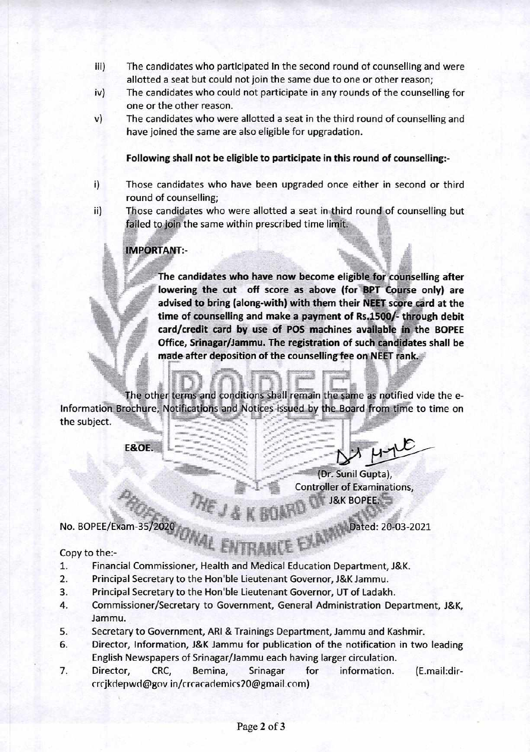- III) The candidates who participated in the second round of counselling and were allotted a seat but could not join the same due to one or other reason;
- iv) The candidates who could not participate in any rounds of the counselling for one or the other reason.
- v) The candidates who were allotted a seat in the third round of counselling and have joined the same are also eligible for upgradation.

## **Following shall not be eligible to participate in this round of counselling:-**

- i) Those candidates who have been upgraded once either in second or third round of counselling;
- ii) Those candidates who were allotted a seat in third round of counselling but failed to join the same within prescribed time limit.

## **IMPORTANT:-**

**The candidates who have now become eligible for counselling after lowering the cut off score as above (for BPT Course only) are advised to bring (along-with) with them their NEET score card at the time of counselling and make a payment of Rs.1500/- through debit card/credit card by use of POS machines available in the BOPEE Office, Srinagar/Jammu. The registration of such candidates shall be made after deposition of the counselling fee on NEET rank. •** 

- ment

The other terms and conditions shall remain the same as notified vide the e-Information Brochure, Notifications and Notices issued by the Board from time to time on the subject. "Inspermental

 $x^2 - y^2 = x^2$ 

**E&OE.** 

L<sub>am</sub> May .<sub>4</sub> .4.4.4.4.4.4 •=•••••

Dated: 20-03-2021

(Dr. Sunil Gupta), Controller of Examinations, J&K BOPEE.

No. BOPEE/Exam-35/2020

## Copy to the:-

- 1. Financial Commissioner, Health and Medical Education Department, J&K.
- 2. Principal Secretary to the Hon'ble Lieutenant Governor, J&K Jammu.

re41,

- 3. Principal Secretary to the Hon'ble Lieutenant Governor, UT of Ladakh.
- 4. Commissioner/Secretary to Government, General Administration Department, J&K, Jammu.
- 5. Secretary to Government, ARI & Trainings Department, Jammu and Kashmir.
- 6. Director, Information, J&K Jammu for publication of the notification in two leading English Newspapers of Srinagar/Jammu each having larger circulation.
- 7. Director, CRC, Bemina, Srinagar for information. (E.mail:dircrcjkdepwd@govin/crcacademics20@gmail.com)